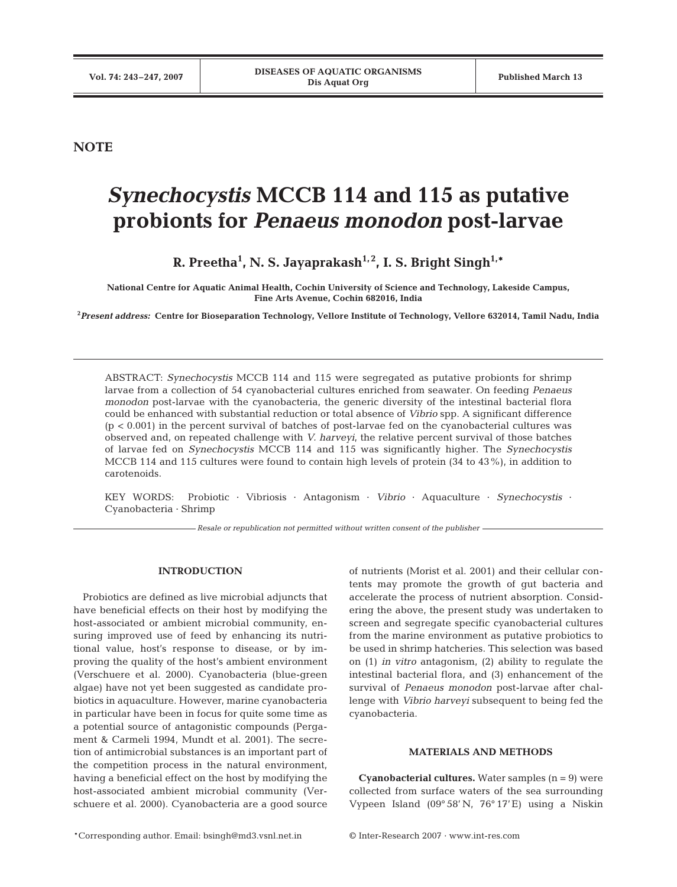**NOTE**

# *Synechocystis* **MCCB 114 and 115 as putative probionts for** *Penaeus monodon* **post-larvae**

**R. Preetha1 , N. S. Jayaprakash1, 2, I. S. Bright Singh1,\***

**National Centre for Aquatic Animal Health, Cochin University of Science and Technology, Lakeside Campus, Fine Arts Avenue, Cochin 682016, India**

**2** *Present address:* **Centre for Bioseparation Technology, Vellore Institute of Technology, Vellore 632014, Tamil Nadu, India**

ABSTRACT: *Synechocystis* MCCB 114 and 115 were segregated as putative probionts for shrimp larvae from a collection of 54 cyanobacterial cultures enriched from seawater. On feeding *Penaeus monodon* post-larvae with the cyanobacteria, the generic diversity of the intestinal bacterial flora could be enhanced with substantial reduction or total absence of *Vibrio* spp. A significant difference  $(p < 0.001)$  in the percent survival of batches of post-larvae fed on the cyanobacterial cultures was observed and, on repeated challenge with *V. harveyi*, the relative percent survival of those batches of larvae fed on *Synechocystis* MCCB 114 and 115 was significantly higher. The *Synechocystis* MCCB 114 and 115 cultures were found to contain high levels of protein (34 to 43%), in addition to carotenoids.

KEY WORDS: Probiotic · Vibriosis · Antagonism · *Vibrio* · Aquaculture · *Synechocystis* · Cyanobacteria · Shrimp

*Resale or republication not permitted without written consent of the publisher*

## **INTRODUCTION**

Probiotics are defined as live microbial adjuncts that have beneficial effects on their host by modifying the host-associated or ambient microbial community, ensuring improved use of feed by enhancing its nutritional value, host's response to disease, or by improving the quality of the host's ambient environment (Verschuere et al. 2000). Cyanobacteria (blue-green algae) have not yet been suggested as candidate probiotics in aquaculture. However, marine cyanobacteria in particular have been in focus for quite some time as a potential source of antagonistic compounds (Pergament & Carmeli 1994, Mundt et al. 2001). The secretion of antimicrobial substances is an important part of the competition process in the natural environment, having a beneficial effect on the host by modifying the host-associated ambient microbial community (Verschuere et al. 2000). Cyanobacteria are a good source

of nutrients (Morist et al. 2001) and their cellular contents may promote the growth of gut bacteria and accelerate the process of nutrient absorption. Considering the above, the present study was undertaken to screen and segregate specific cyanobacterial cultures from the marine environment as putative probiotics to be used in shrimp hatcheries. This selection was based on (1) *in vitro* antagonism, (2) ability to regulate the intestinal bacterial flora, and (3) enhancement of the survival of *Penaeus monodon* post-larvae after challenge with *Vibrio harveyi* subsequent to being fed the cyanobacteria.

# **MATERIALS AND METHODS**

**Cyanobacterial cultures.** Water samples  $(n = 9)$  were collected from surface waters of the sea surrounding Vypeen Island (09° 58' N, 76° 17'E) using a Niskin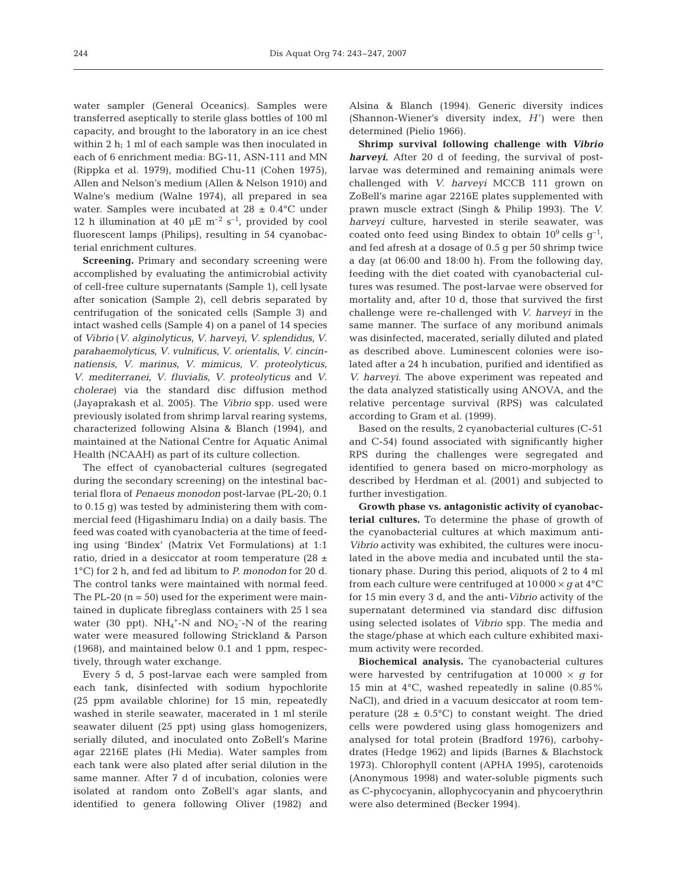water sampler (General Oceanics). Samples were transferred aseptically to sterile glass bottles of 100 ml capacity, and brought to the laboratory in an ice chest within 2 h; 1 ml of each sample was then inoculated in each of 6 enrichment media: BG-11, ASN-111 and MN (Rippka et al. 1979), modified Chu-11 (Cohen 1975), Allen and Nelson's medium (Allen & Nelson 1910) and Walne's medium (Walne 1974), all prepared in sea water. Samples were incubated at  $28 \pm 0.4$ °C under 12 h illumination at 40  $\mu$ E m<sup>-2</sup> s<sup>-1</sup>, provided by cool fluorescent lamps (Philips), resulting in 54 cyanobacterial enrichment cultures.

**Screening.** Primary and secondary screening were accomplished by evaluating the antimicrobial activity of cell-free culture supernatants (Sample 1), cell lysate after sonication (Sample 2), cell debris separated by centrifugation of the sonicated cells (Sample 3) and intact washed cells (Sample 4) on a panel of 14 species of *Vibrio* (*V*. *alginolyticus*, *V*. *harveyi*, *V*. *splendidus*, *V*. *parahaemolyticus*, *V*. *vulnificus*, *V*. *orientalis*, *V*. *cincinnatiensis*, *V*. *marinus*, *V*. *mimicus*, *V*. *proteolyticus*, *V*. *mediterranei*, *V*. *fluvialis*, *V*. *proteolyticus* and *V*. *cholerae*) via the standard disc diffusion method (Jayaprakash et al. 2005). The *Vibrio* spp. used were previously isolated from shrimp larval rearing systems, characterized following Alsina & Blanch (1994), and maintained at the National Centre for Aquatic Animal Health (NCAAH) as part of its culture collection.

The effect of cyanobacterial cultures (segregated during the secondary screening) on the intestinal bacterial flora of *Penaeus monodon* post-larvae (PL-20; 0.1 to 0.15 g) was tested by administering them with commercial feed (Higashimaru India) on a daily basis. The feed was coated with cyanobacteria at the time of feeding using 'Bindex' (Matrix Vet Formulations) at 1:1 ratio, dried in a desiccator at room temperature (28 ± 1°C) for 2 h, and fed ad libitum to *P. monodon* for 20 d. The control tanks were maintained with normal feed. The PL-20  $(n = 50)$  used for the experiment were maintained in duplicate fibreglass containers with 25 l sea water (30 ppt).  $NH_4^+$ -N and  $NO_2^-$ -N of the rearing water were measured following Strickland & Parson (1968), and maintained below 0.1 and 1 ppm, respectively, through water exchange.

Every 5 d, 5 post-larvae each were sampled from each tank, disinfected with sodium hypochlorite (25 ppm available chlorine) for 15 min, repeatedly washed in sterile seawater, macerated in 1 ml sterile seawater diluent (25 ppt) using glass homogenizers, serially diluted, and inoculated onto ZoBell's Marine agar 2216E plates (Hi Media). Water samples from each tank were also plated after serial dilution in the same manner. After 7 d of incubation, colonies were isolated at random onto ZoBell's agar slants, and identified to genera following Oliver (1982) and

Alsina & Blanch (1994). Generic diversity indices (Shannon-Wiener's diversity index, *H*<sup>'</sup>) were then determined (Pielio 1966).

**Shrimp survival following challenge with** *Vibrio harveyi.* After 20 d of feeding, the survival of postlarvae was determined and remaining animals were challenged with *V. harveyi* MCCB 111 grown on ZoBell's marine agar 2216E plates supplemented with prawn muscle extract (Singh & Philip 1993). The *V. harveyi* culture, harvested in sterile seawater, was coated onto feed using Bindex to obtain  $10^9$  cells  $q^{-1}$ , and fed afresh at a dosage of 0.5 g per 50 shrimp twice a day (at 06:00 and 18:00 h). From the following day, feeding with the diet coated with cyanobacterial cultures was resumed. The post-larvae were observed for mortality and, after 10 d, those that survived the first challenge were re-challenged with *V. harveyi* in the same manner. The surface of any moribund animals was disinfected, macerated, serially diluted and plated as described above. Luminescent colonies were isolated after a 24 h incubation, purified and identified as *V. harveyi*. The above experiment was repeated and the data analyzed statistically using ANOVA, and the relative percentage survival (RPS) was calculated according to Gram et al. (1999).

Based on the results, 2 cyanobacterial cultures (C-51 and C-54) found associated with significantly higher RPS during the challenges were segregated and identified to genera based on micro-morphology as described by Herdman et al. (2001) and subjected to further investigation.

**Growth phase vs. antagonistic activity of cyanobacterial cultures.** To determine the phase of growth of the cyanobacterial cultures at which maximum anti-*Vibrio* activity was exhibited, the cultures were inoculated in the above media and incubated until the stationary phase. During this period, aliquots of 2 to 4 ml from each culture were centrifuged at 10 000 × *g* at 4°C for 15 min every 3 d, and the anti-*Vibrio* activity of the supernatant determined via standard disc diffusion using selected isolates of *Vibrio* spp. The media and the stage/phase at which each culture exhibited maximum activity were recorded.

**Biochemical analysis.** The cyanobacterial cultures were harvested by centrifugation at  $10000 \times q$  for 15 min at 4°C, washed repeatedly in saline (0.85% NaCl), and dried in a vacuum desiccator at room temperature (28  $\pm$  0.5°C) to constant weight. The dried cells were powdered using glass homogenizers and analysed for total protein (Bradford 1976), carbohydrates (Hedge 1962) and lipids (Barnes & Blachstock 1973). Chlorophyll content (APHA 1995), carotenoids (Anonymous 1998) and water-soluble pigments such as C-phycocyanin, allophycocyanin and phycoerythrin were also determined (Becker 1994).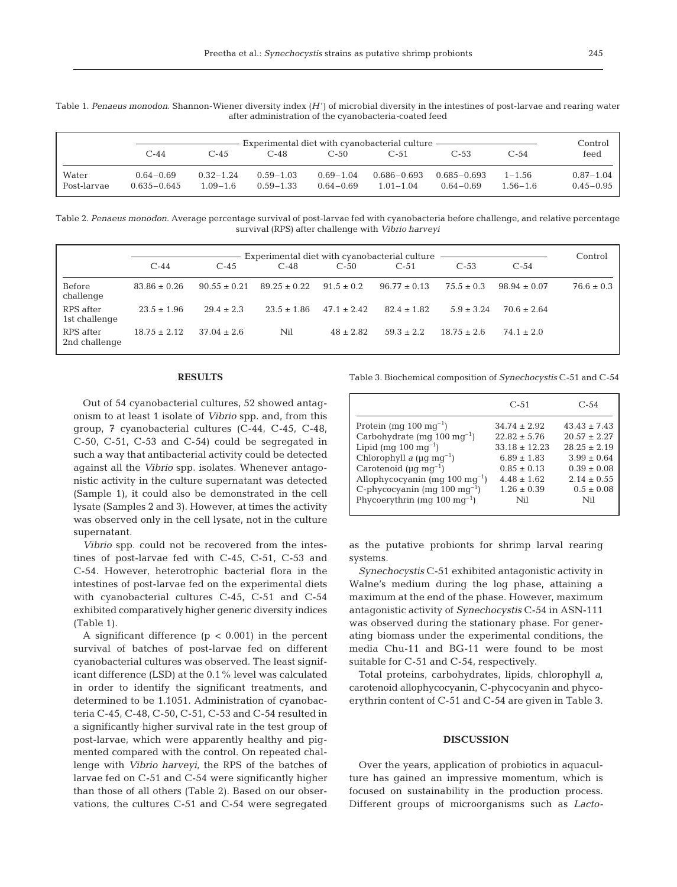|  | Table 1. Penaeus monodon. Shannon-Wiener diversity index $(H')$ of microbial diversity in the intestines of post-larvae and rearing water |                                                       |  |  |  |  |
|--|-------------------------------------------------------------------------------------------------------------------------------------------|-------------------------------------------------------|--|--|--|--|
|  |                                                                                                                                           | after administration of the cyanobacteria-coated feed |  |  |  |  |

|                      |                                  | Experimental diet with cyanobacterial culture |                                |                                |                                  |                                  |                            |                                |  |
|----------------------|----------------------------------|-----------------------------------------------|--------------------------------|--------------------------------|----------------------------------|----------------------------------|----------------------------|--------------------------------|--|
|                      | $C-44$                           | C-45                                          | C-48                           | $C-50$                         | $C-51$                           | C-53                             | C-54                       | feed                           |  |
| Water<br>Post-larvae | $0.64 - 0.69$<br>$0.635 - 0.645$ | $0.32 - 1.24$<br>$1.09 - 1.6$                 | $0.59 - 1.03$<br>$0.59 - 1.33$ | $0.69 - 1.04$<br>$0.64 - 0.69$ | $0.686 - 0.693$<br>$1.01 - 1.04$ | $0.685 - 0.693$<br>$0.64 - 0.69$ | $1 - 1.56$<br>$1.56 - 1.6$ | $0.87 - 1.04$<br>$0.45 - 0.95$ |  |

Table 2. *Penaeus monodon*. Average percentage survival of post-larvae fed with cyanobacteria before challenge, and relative percentage survival (RPS) after challenge with *Vibrio harveyi*

|                            | Experimental diet with cyanobacterial culture |                 |                  |                 |                  |                 |                | Control        |
|----------------------------|-----------------------------------------------|-----------------|------------------|-----------------|------------------|-----------------|----------------|----------------|
|                            | $C-44$                                        | $C-45$          | $C-48$           | $C-50$          | $C-51$           | $C-53$          | $C-54$         |                |
| Before<br>challenge        | $83.86 \pm 0.26$                              | $90.55 + 0.21$  | $89.25 \pm 0.22$ | $91.5 \pm 0.2$  | $96.77 \pm 0.13$ | $75.5 \pm 0.3$  | $98.94 + 0.07$ | $76.6 \pm 0.3$ |
| RPS after<br>1st challenge | $23.5 + 1.96$                                 | $29.4 \pm 2.3$  | $23.5 \pm 1.86$  | $47.1 \pm 2.42$ | $82.4 \pm 1.82$  | $5.9 \pm 3.24$  | $70.6 + 2.64$  |                |
| RPS after<br>2nd challenge | $18.75 \pm 2.12$                              | $37.04 \pm 2.6$ | Nil              | $48 \pm 2.82$   | $59.3 \pm 2.2$   | $18.75 \pm 2.6$ | $74.1 \pm 2.0$ |                |

#### **RESULTS**

Out of 54 cyanobacterial cultures, 52 showed antagonism to at least 1 isolate of *Vibrio* spp. and, from this group, 7 cyanobacterial cultures (C-44, C-45, C-48, C-50, C-51, C-53 and C-54) could be segregated in such a way that antibacterial activity could be detected against all the *Vibrio* spp. isolates. Whenever antagonistic activity in the culture supernatant was detected (Sample 1), it could also be demonstrated in the cell lysate (Samples 2 and 3). However, at times the activity was observed only in the cell lysate, not in the culture supernatant.

*Vibrio* spp. could not be recovered from the intestines of post-larvae fed with C-45, C-51, C-53 and C-54. However, heterotrophic bacterial flora in the intestines of post-larvae fed on the experimental diets with cyanobacterial cultures C-45, C-51 and C-54 exhibited comparatively higher generic diversity indices (Table 1).

A significant difference  $(p < 0.001)$  in the percent survival of batches of post-larvae fed on different cyanobacterial cultures was observed. The least significant difference (LSD) at the 0.1% level was calculated in order to identify the significant treatments, and determined to be 1.1051. Administration of cyanobacteria C-45, C-48, C-50, C-51, C-53 and C-54 resulted in a significantly higher survival rate in the test group of post-larvae, which were apparently healthy and pigmented compared with the control. On repeated challenge with *Vibrio harveyi*, the RPS of the batches of larvae fed on C-51 and C-54 were significantly higher than those of all others (Table 2). Based on our observations, the cultures C-51 and C-54 were segregated

Table 3. Biochemical composition of *Synechocystis* C-51 and C-54

|     | $C - 54$                                                                                                                                        |
|-----|-------------------------------------------------------------------------------------------------------------------------------------------------|
|     | $43.43 \pm 7.43$                                                                                                                                |
|     | $20.57 \pm 2.27$                                                                                                                                |
|     | $28.25 \pm 2.19$                                                                                                                                |
|     | $3.99 \pm 0.64$                                                                                                                                 |
|     | $0.39 \pm 0.08$                                                                                                                                 |
|     | $2.14 \pm 0.55$                                                                                                                                 |
|     | $0.5 \pm 0.08$                                                                                                                                  |
| Nil | Nil                                                                                                                                             |
|     | $C-51$<br>$34.74 \pm 2.92$<br>$22.82 \pm 5.76$<br>$33.18 \pm 12.23$<br>$6.89 \pm 1.83$<br>$0.85 \pm 0.13$<br>$4.48 \pm 1.62$<br>$1.26 \pm 0.39$ |

as the putative probionts for shrimp larval rearing systems.

*Synechocystis* C-51 exhibited antagonistic activity in Walne's medium during the log phase, attaining a maximum at the end of the phase. However, maximum antagonistic activity of *Synechocystis* C-54 in ASN-111 was observed during the stationary phase. For generating biomass under the experimental conditions, the media Chu-11 and BG-11 were found to be most suitable for C-51 and C-54, respectively.

Total proteins, carbohydrates, lipids, chlorophyll *a*, carotenoid allophycocyanin, C-phycocyanin and phycoerythrin content of C-51 and C-54 are given in Table 3.

### **DISCUSSION**

Over the years, application of probiotics in aquaculture has gained an impressive momentum, which is focused on sustainability in the production process. Different groups of microorganisms such as *Lacto-*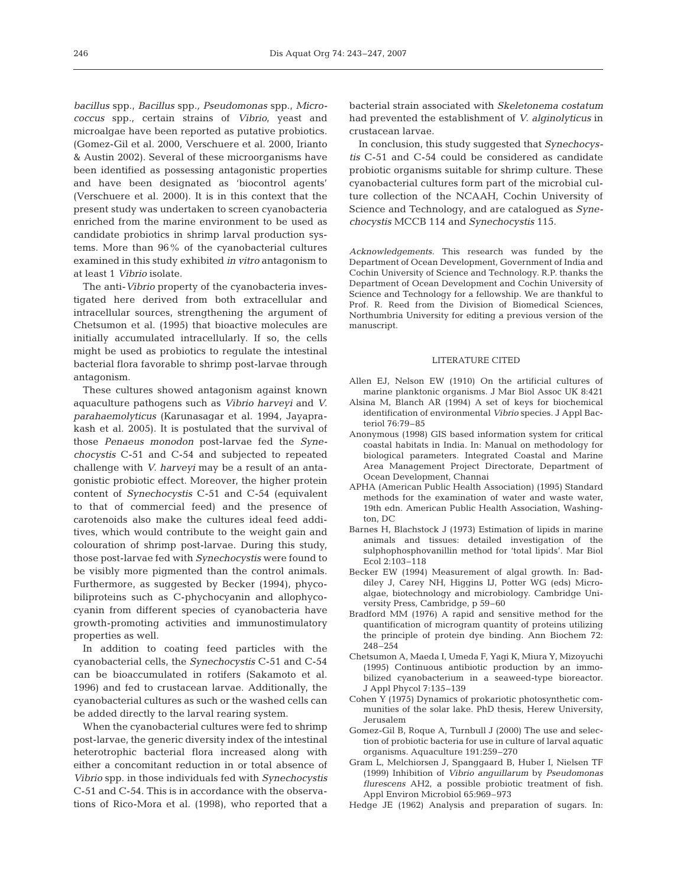*bacillus* spp., *Bacillus* spp.*, Pseudomonas* spp., *Micrococcus* spp., certain strains of *Vibrio*, yeast and microalgae have been reported as putative probiotics. (Gomez-Gil et al. 2000, Verschuere et al. 2000, Irianto & Austin 2002). Several of these microorganisms have been identified as possessing antagonistic properties and have been designated as 'biocontrol agents' (Verschuere et al. 2000). It is in this context that the present study was undertaken to screen cyanobacteria enriched from the marine environment to be used as candidate probiotics in shrimp larval production systems. More than 96% of the cyanobacterial cultures examined in this study exhibited *in vitro* antagonism to at least 1 *Vibrio* isolate.

The anti-*Vibrio* property of the cyanobacteria investigated here derived from both extracellular and intracellular sources, strengthening the argument of Chetsumon et al. (1995) that bioactive molecules are initially accumulated intracellularly. If so, the cells might be used as probiotics to regulate the intestinal bacterial flora favorable to shrimp post-larvae through antagonism.

These cultures showed antagonism against known aquaculture pathogens such as *Vibrio harveyi* and *V. parahaemolyticus* (Karunasagar et al. 1994, Jayaprakash et al. 2005). It is postulated that the survival of those *Penaeus monodon* post-larvae fed the *Synechocystis* C-51 and C-54 and subjected to repeated challenge with *V. harveyi* may be a result of an antagonistic probiotic effect. Moreover, the higher protein content of *Synechocystis* C-51 and C-54 (equivalent to that of commercial feed) and the presence of carotenoids also make the cultures ideal feed additives, which would contribute to the weight gain and colouration of shrimp post-larvae. During this study, those post-larvae fed with *Synechocystis* were found to be visibly more pigmented than the control animals. Furthermore, as suggested by Becker (1994), phycobiliproteins such as C-phychocyanin and allophycocyanin from different species of cyanobacteria have growth-promoting activities and immunostimulatory properties as well.

In addition to coating feed particles with the cyanobacterial cells, the *Synechocystis* C-51 and C-54 can be bioaccumulated in rotifers (Sakamoto et al. 1996) and fed to crustacean larvae. Additionally, the cyanobacterial cultures as such or the washed cells can be added directly to the larval rearing system.

When the cyanobacterial cultures were fed to shrimp post-larvae, the generic diversity index of the intestinal heterotrophic bacterial flora increased along with either a concomitant reduction in or total absence of *Vibrio* spp. in those individuals fed with *Synechocystis* C-51 and C-54. This is in accordance with the observations of Rico-Mora et al. (1998), who reported that a

bacterial strain associated with *Skeletonema costatum* had prevented the establishment of *V. alginolyticus* in crustacean larvae.

In conclusion, this study suggested that *Synechocystis* C-51 and C-54 could be considered as candidate probiotic organisms suitable for shrimp culture. These cyanobacterial cultures form part of the microbial culture collection of the NCAAH, Cochin University of Science and Technology, and are catalogued as *Synechocystis* MCCB 114 and *Synechocystis* 115.

*Acknowledgements.* This research was funded by the Department of Ocean Development, Government of India and Cochin University of Science and Technology. R.P. thanks the Department of Ocean Development and Cochin University of Science and Technology for a fellowship. We are thankful to Prof. R. Reed from the Division of Biomedical Sciences, Northumbria University for editing a previous version of the manuscript.

#### LITERATURE CITED

- Allen EJ, Nelson EW (1910) On the artificial cultures of marine planktonic organisms. J Mar Biol Assoc UK 8:421
- Alsina M, Blanch AR (1994) A set of keys for biochemical identification of environmental *Vibrio* species. J Appl Bacteriol 76:79–85
- Anonymous (1998) GIS based information system for critical coastal habitats in India. In: Manual on methodology for biological parameters. Integrated Coastal and Marine Area Management Project Directorate, Department of Ocean Development, Channai
- APHA (American Public Health Association) (1995) Standard methods for the examination of water and waste water, 19th edn. American Public Health Association, Washington, DC
- Barnes H, Blachstock J (1973) Estimation of lipids in marine animals and tissues: detailed investigation of the sulphophosphovanillin method for 'total lipids'. Mar Biol Ecol 2:103–118
- Becker EW (1994) Measurement of algal growth. In: Baddiley J, Carey NH, Higgins IJ, Potter WG (eds) Microalgae, biotechnology and microbiology. Cambridge University Press, Cambridge, p 59–60
- Bradford MM (1976) A rapid and sensitive method for the quantification of microgram quantity of proteins utilizing the principle of protein dye binding. Ann Biochem 72: 248–254
- Chetsumon A, Maeda I, Umeda F, Yagi K, Miura Y, Mizoyuchi (1995) Continuous antibiotic production by an immobilized cyanobacterium in a seaweed-type bioreactor. J Appl Phycol 7:135–139
- Cohen Y (1975) Dynamics of prokariotic photosynthetic communities of the solar lake. PhD thesis, Herew University, Jerusalem
- Gomez-Gil B, Roque A, Turnbull J (2000) The use and selection of probiotic bacteria for use in culture of larval aquatic organisms. Aquaculture 191:259–270
- Gram L, Melchiorsen J, Spanggaard B, Huber I, Nielsen TF (1999) Inhibition of *Vibrio anguillarum* by *Pseudomonas flurescens* AH2, a possible probiotic treatment of fish. Appl Environ Microbiol 65:969–973
- Hedge JE (1962) Analysis and preparation of sugars. In: